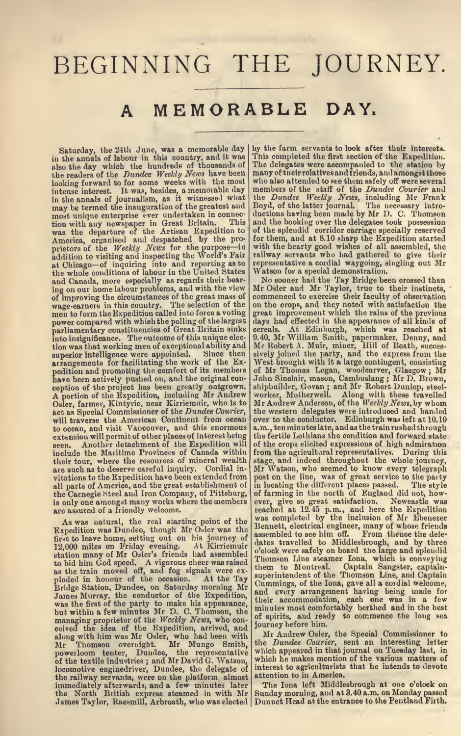# BEGINNING THE JOURNEY

# A MEMORABLE DAY.

Saturday, the 24th June, was a memorable day by this<br>in the annals of labour in this country, and it was This<br>also the day which the hundreds of thousands of The<br>the readers of the *Dundee Weekly News* have been many looking forward to for some weeks with the most who a<br>intense interest. It was, besides, a memorable day memb<br>in the annals of journalism, as it witnessed what the may be termed the inauguration of the greatest and most unique enterprise ever undertaken in connection<br>with any newspaper in Great Britain. This and<br>was the departure of the Artisan Expedition to of the<br>America, organised and despatched by the pro-<br>prietors of the *Weekly* and Canada, more especially as regards their bear ing on our home labour problems, and with the view of improving the circumstances of the great mass of wage-earners in this country. The selection of the men to form the Expedition called into force a voting power compared with which the polling of the largest power compared with which the polling of the largest day:<br>parliamentary constituencies of Great Britain sinks ecre-<br>into insignificance. The outcome of this unique election was that working men of exceptional ability and superior intelligence were appointed. Since then sively<br>arrangements for facilitating the work of the Ex-<br>Next pedition and promoting the comfort of its members of Minute been actively pushed on, and the original con-<br>ception of the project has been greatly outgrown. Shipbur<br>A portion of the Expedition, including Mr Andrew works<br>Os will traverse the American Continent from ocean over<br>to ocean, and visit Vancouver, and this enormous a.m.,<br>extension will permit of other places of interest being the fe seen. Another detachment of the Expedition will of the Maritime Provinces of Canada within from<br>their tour, where the resources of mineral wealth stage<br>are such as to deserve careful inquiry. Cordial in-Mr \ vitations to the Expedition have been extended from all parts of America, and the great establishment of the Carnegie Steel and Iron Company, of Pittsburg, is only one amongst many works where the members are assured of a friendly welcome.

As was natural, the real starting point of the mass bundee, though Mr Osler was the first to leave home, setting out on his journey of assem 12,000 miles on Friday evening. At Kirriemuir dates that to bid him God speed. A Bridge Station, Dundee, on Saturday morning Mr utunin James Murray, the conductor of the Expedition, was the first of the party to make his appearance, the iniu<br>but within a few minutes Mr D. C. Thomson, the iniu managing proprietor of the Weekly News, who con-<br>ceived the idea of the Expedition, arrived, and<br>along with him was Mr Osler, who had been with Mr<br>Mr Thomson overnight. Mr Mungo Smith, the powerloom tenter, Dundee, the representative which of the textile industries; and Mr David G. Watson, which locomotive enginedriver, Dundee, the delegate of inter<br>the railway servants, were on the platform almost atten immediately afterwards, and <sup>a</sup> few minutes later the North British express steamed in with Mr

by the farm servants to look after their interests.<br>This completed the first section of the Expedition. The delegates were accompanied to the station by<br>many of their relatives and friends, and amongst those<br>who also attended to see them safely off were several<br>members of the staff of the *Dundee Courier* and the *Dundee Weekly News*, including Mr Frank<br>Boyd, of the latter journal. The necessary intro-<br>ductions having been made by Mr D. C. Thomson and the booking over the delegates took possession of the splendid corridor carriage specially reserved for them, and at 8.10 sharp the Expedition started with the hearty good wishes of all assembled, the railway servants who had gathered to give their representative <sup>a</sup> cordial waygoing, singling out Mr

No sooner had the Tay Bridge been crossed than<br>Mr Osler and Mr Taylor, true to their instincts,<br>commenced to exercise their faculty of observation great improvement which the rains of the previous lays had effected in the appearance of all kinds of cereals. At Edinburgh, which was reached at 9.40, Mr William Smith, papermaker, Denny, and Mr Robert A. Muir, miner, Hiil of Death, succes sively joined the party, and the express from the West brought with it <sup>a</sup> large contingent, consisting of Mr Thomas Logan, woodcarver, Glasgow ; Mr John Sinclair, mason, Cambuslang ; Mr D. Brown, shipbuilder, Govan ; and Mr Robert Dunlop, steel worker, Motherwell. Along with these travelled<br>Mr Andrew Anderson, of the W*eekly News*, by whom<br>the western delegates were introduced and handed over to the conductor. Edinburgh was left at 10.10 a.m., ten minutes late, andas the train rushed through the fertile Lothians the condition and forward state of the crops elicited expressions of high admiration from the agricultural representatives. During this stage, and indeed throughout the whole journey,<br>Mr Watson, who seemed to know every telegraph<br>post on the line, was of great service to the party<br>in locating the different places passed. The style of farming in the north of England did not, how ever, give so great satisfaction. Newcastle was reached at 12.45 p.m., and here the Expedition was completed by the inclusion of Mr Ebenezer Bennett, electrical engineer, many of whose friends<br>assembled to see him off. From thence the deleassembled to see him off. From thence the dele-<br>dates travelled to Middlesbrough, and by three<br>o'clock were safely on board the large and splendid o'clock were safely on board the large and splendid<br>Thomson Line steamer Lona, which is conveying<br>them to Montreal. Captain Sangster, captain-<br>superintendent of the Thomson Line, and Captain Cummings, of the lona, gave all a cordial welcome,<br>and every arrangement having being made for<br>their accommodation, each one was in a few<br>minutes most comfortably berthed and in the best of spirits, and ready to commence the long sea journey before him.

Mr Andrew Osler, the Special Commissioner to<br>the Dundee Courier, sent an interesting letter which appeared in that journal on Tuesday last, in which he makes mention of the various matters of interest to agriculturists that he intends to devote attention to in America.

the North British express steamed in with Mr | Sunday morning, and at 3.40 a.m. on Monday passed<br>James Taylor, Raesmill, Arbroath, who was elected | Dunnet Head at the entrance to the Pentland Firth. The Iona left Middlesbrough at one o'clock on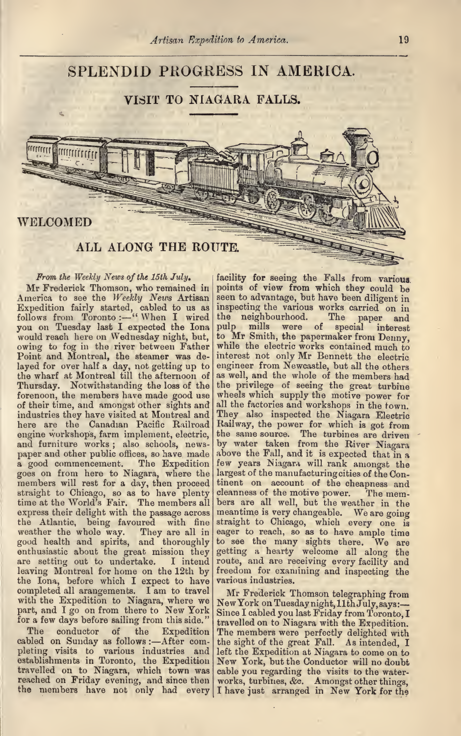# SPLENDID PROGRESS IN AMERICA.

## VISIT TO NIAGARA FALLS.

### WELCOMED

### ALL ALONG THE ROUTE.

From the Weekly News of the 15th July Mr Frederick Thomson, who remained in America to see the *Weekly News* Artisan seen Expedition fairly started, cabled to us as inspected follows from Toronto :—" When I wired the you on Tuesday last I expected the Iona pulp would reach here on Wednesday night, but, to M owing to fog in the river between Father Point and Montreal, the steamer was de- inter layed for over half a day, not getting up to eng<br>the wharf at Montreal till the afternoon of as w Thursday. Notwithstanding the loss of the the privilege of seeing the great turbine forenoon, the members have made good use of their time, and amongst other sights and industries they have visited at Montreal and here are the Canadian Pacific Railroad<br>engine workshops, farm implement, electric, and furniture works; also schools, news- by water taken from the River Niagara paper and other public offices, so have made above the Fall, and it is expected that in a good commencement. The Expedition few years Niagara will rank amongst the goes on from here to Niagara, where the members will rest for a day, then proceed straight to Chicago, so as to have plenty cleanness of the motive power. The mem-<br>time at the World's Fair. The members all bers are all well, but the weather in the<br>express their delight with the passage across meantime i the Atlantic, being favoured with fine weather the whole way. They are all in good health and spirits, and thoroughly enthusiastic about the great mission they getti are setting out to undertake. I intend route leaving Montreal for home on the 12th by the Iona, before which I expect to have completed all arangements. I am to travel completed all arangements. I am to travel  $\text{Mr}\atop \text{with the Exploration to Niagara, where we }\text{NewY}$ part, and I go on from there to New York Since for a few days before sailing from this side."

The conductor of the Expedition The cabled on Sunday as follows :—After com- the si pleting visits to various industries and establishments in Toronto, the Expedition travelled on to Niagara, which town was reached on Friday evening, and since then

facility for seeing the Falls from various. points of view from which they could be seen to advantage, but have been diligent in inspecting the various works carried on in<br>the neighbourhood. The paper and the neighbourhood. The paper and pulp mills were of special interest to Mr Smith, the papermaker from Denny, while the electric works contained much to interest not only Mr Bennett the electric engineer from Newcastle, but all the others as well, and the whole of the members had wheels which supply the motive power for all the factories and workshops in the town. They also inspected the Niagara Electric Railway, the power for which is got from the same source. The turbines are driven above the Fall, and it is expected that in a largest of the manufacturing cities of the Con tinent on account of the cheapness and<br>cleanness of the motive power. The memcleanness of the motive power. meantime is very changeable. We are going straight to Chicago, which every one is eager to reach, so as to have ample time to see the many sights there. We are getting <sup>a</sup> hearty welcome all along the route, and are receiving every facility and freedom for examining and inspecting the various industries.

reacned on Friday evening, and since then works, turbines, &c. Amongst other things,<br>the members have not only had every I have just arranged in New York for the Mr Frederick Thomson telegraphing from<br>New York on Tuesday night, 11th July, says:-Since I cabled you last Friday from Toronto, I travelled on to Niagara with the Expedition. The members were perfectly delighted with the sight of the great Fall. As intended, <sup>I</sup> New York, but the Conductor will no doubt cable you regarding the visits to the water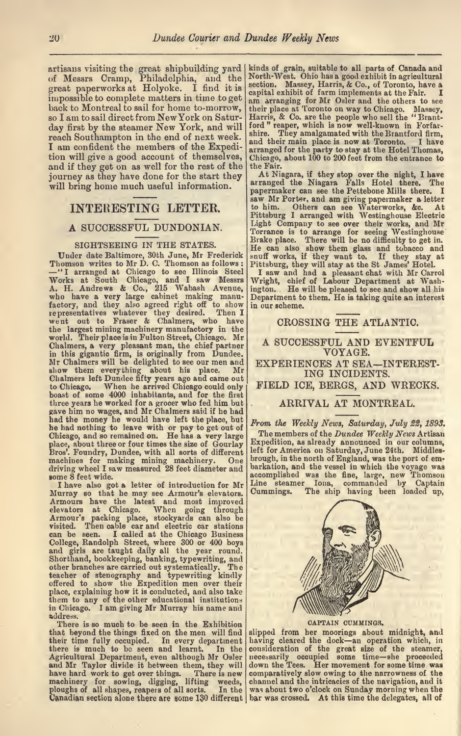artisans visiting the great shipbuilding yard kinds<br>of Messrs Cramp, Philadelphia, and the North great paperworks at Holyoke. I find it is cap impossible to complete matters in time to get back to Montreal to sail for home to-morrow, so <sup>I</sup> am to sail direct from NewYork on Satur day first by the steamer New York, and will ford" reaper, which is now well-known in reach Southampton in the end of next week. and their main place is now at Toronto. <sup>I</sup> am confident the members of the Expedi tion will give a good account of themselves, and if they get on as well for the rest of the  $\vert$  the F journey as they have done for the start they  $\begin{bmatrix} A^t \\ A^r \end{bmatrix}$ 

### INTERESTING LETTER.

### A SUCCESSFUL DUNDONIAN.

SIGHTSEEING IN THE STATES.<br>Under date Baltimore, 30th June, Mr Frederick<br>Thomson writes to Mr D. C. Thomson as follows: Under date Baltimore, 30th June, Mr Frederick snuff<br>Thomson writes to Mr D. C. Thomson as follows : Pitts<br>-"I arranged at Chicago, to see Illinois Steel I<br>Works at South Chicago, and I saw Messrs Wrig A. H. Andrews & Co., 215 Wabash Avenue, ington<br>who have a very large cabinet making manu- Depan<br>factory, and they also agreed right off to show in our<br>representatives whatever they desired. Then I<br>went out to Fraser & Chal the largest mining machinery manufactory in the world. Their place is in Fulton Street, Chicago. Mr Chalmers, a very pleasant man, the chief partner<br>in this gigantic firm, is originally from Dundee.<br>Mr Chalmers will be delighted to see our men and EXF<br>show them everything about his place. Mr Chalmers left Dundee fifty years ago and came out to Chicago. When he arrived Chicago could only boast of some 4000 inhabitants, and for the first three years he worked for a grocer who fed him but .<br>gave him no wages, and Mr Chalmers said if he had had the money he would have left the place, but  $\begin{array}{c|c} F_{\text{FOM}} & F_{\text{FOM}} \end{array}$ <br>Chicago, and so remained on. He has a very large  $\begin{array}{c|c} \Gamma\end{array}$ place, about three or four times the size of Gourlay Bros'. Foundry, Dundee, with all sorts of different Bros'. Foundry, Dundee, with all sorts of different letter of<br>machines for making mining machinery. One broug<br>driving wheel I saw measured 28 feet diameter and some 8 feet wide.

<sup>I</sup> have also got a letter of introduction for Mr Murray so that he may see Armour's elevators. Armours have the latest and most improved elevators at Chicago. When going through Armour's packing place, stockyards can also be elevators at Unicago. When going through<br>Armour's packing place, stockyards can also be<br>visited. Then cable car and electric car stations<br>can be seen. I called at the Chicago Business can be seen. I called at the Chicago Business<br>College, Randolph Street, where 300 or 400 boys<br>and girls are taught daily all the year round.<br>Shorthand, bookkeeping, banking, typewriting, and<br>other branches are carried out teacher of stenography and typewriting kindly<br>offered to show the Expedition men over their<br>place, explaining how it is conducted, and also take<br>them to any of the other educational institutions<br>in Chicago. I am giving Mr address.

There is so much to be seen in the Exhibition that beyond the things fixed on the men will find slipped from her moorings about midnight, and<br>their time fully occupied. In every department having cleared the dock—an operation which, in their time fully occupied. In every department havir<br>there is much to be seen and learnt. In the consi Agricultural Department, even although Mr Osler and Mr Taylor divide it between them, they will have hard work to get over things. There is new them, they weeks, the second of all sorts. In the machinery for sowing, digging, lifting weeds, chan<br>ploughs of all shapes, reapers of all sorts. In the Was<br>Canadian section alone there are some 130 different bar

kinds of grain, suitable to all parts of Canada and North-West. Ohio has a good exhibit in agricultural section. Massey, Harris, & Co., of Toronto, have a capital exhibit of farm implements at the Fair. I capital exhibit of farm implements at the Fair.<br>The arranging for Mr Osler and the others to see<br>their place at Toronto on way to Chicago. Massey,<br>Harris, & Co. are the people who sell the "Brant-<br>ford " reaper, which is n shire. They amalgamated with the Brantford firm, and their main place is now at Toronto. <sup>I</sup> have arranged for the party to stay at the Hotel Thomas, Chicago, about 100 to 200 feet from the entrance to the Fair.

will bring home much useful information. The magazine magazine rails hotel there. The At Niagara, if they stop over the night, <sup>I</sup> have arranged the Niagara Falls Hotel there. The papermaker can see the Indian see the Petter, and am giving papermaker a letter to him. Others can see Waterworks, &c. At Pittsburg I arranged with Westinghouse Electric Pittsburg <sup>I</sup> arranged with Westinghouse Electric Light Company to see over their works, and Mr Torrance is to arrange for seeing Westinghouse<br>Brake place. There will be no difficulty to get in.<br>He can also show them glass and tobacco and<br>snuff works, if they want to. If they stay at<br>Pittsburg, they will stay at the

ington. He will be pleased to see and show all his Department to them. He is taking quite an interest in our scheme.

### CROSSING THE ATLANTIC.

### A SUCCESSFUL AND EVENTFUL VOYAGE.

EXPERIENCES AT SEA-INTEREST-ING INCIDENTS.

FIELD ICE, BERGS, AND WRECKS.

### ARRIVAL AT MONTREAL.

From the Weekly News, Saturday, July 22, 1893.

The members of the Dundee Weekly News Artisan Expedition, as already announced in our columns, left for America on Saturday, June 24th. Middles brough, in the north of England, was the port of em barkation, and the vessel in which the voyage waa accomplished was the fine, large, new Thomson Line steamer lona, commanded by Captain Cummings. The ship having been loaded up,



CAPTAIN CUMMINGS.

slipped from her moorings about midnight, and having cleared the dock—an operation which, in<br>consideration of the great size of the steamer,<br>necessarily occupied some time—she proceeded<br>down the Tees. Her movement for some time was comparatively slow owing to the narrowness of the channel and the intricacies of the navigation, and it was about two o'clock on Sunday morning when the bar was crossed. At this time the delegates, all of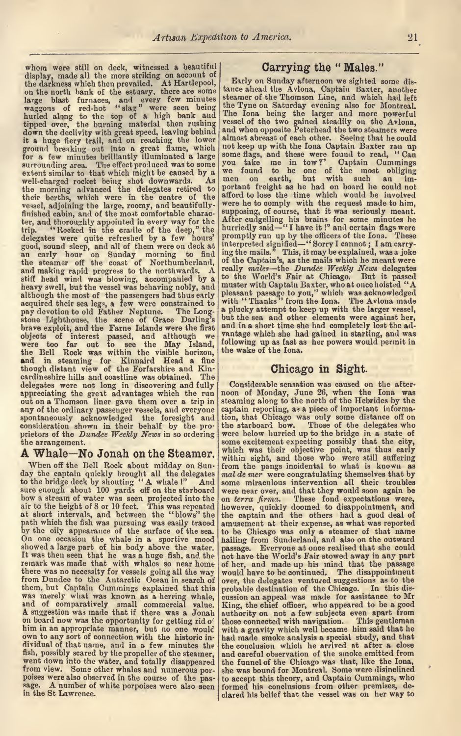whom were still on deck, witnessed <sup>a</sup> beautiful display, made all the more striking of the more striking on account of the darkness which then prevailed. At Hartlepool,  $\begin{bmatrix} \text{Early on Sunday afternoon we sighted some distance.} \\ \text{the dot of the network on the network.} \end{bmatrix}$ large blast furnaces, and every few minutes wear<br>waggons of red-hot "slag" were seen being the T<br>hurled along to the top of a high bank and The tipped over, the burning material then rushing vessed<br>down the declivity with great speed, leaving behind<br>it a huge fiery trail, and on reaching the lower<br>not ground breaking out into a great flame, which luct a few minutes brilliantly illuminated a large some surrounding area. The effect produced was to some you<br>extent similar to that which might be caused by a well-charged rocket being shot downwards. As the morning advanced the delegates retired to their berths, which were in the centre of the vessel, adjoining the large, roomy, and beautifullyfinished cabin, and of the most comfortable character, and thoroughly appointed in every way for the trip. "Rocked in the cradle of the deep," the delegates were quite refreshed by a few hours' good, sound sleep, and all of them were on deck at an early hour on Sunday morning to find the steamer off the coast of Northumberland, and making rapid progress to the northwards. A really n stiff head wind was blowing, accompanied by a to the heavy swell, but the vessel was behaving nobly, and muster v although the most of the passengers had thus early plea<br>acquired their sea legs, a few were constrained to with<br>pay devotion to old Father Neptune. The Long-pay stone Lighthouse, the scene of Grace Darling's but the sea and other elements were against her,<br>brave exploit, and the Farne Islands were the first and in a short time she had completely lost the adobjects of interest passed, and although we vere too far out to see the May Island, the Bell Rock was within the visible horizon, the we and in steaming for Kinnaird Head a fine though distant view of the Forfarshire and Kin-cardineshire hills and coastline was obtained. The delegates were not long in discovering and fully appreciating the great advantages which the run noon<br>out on a Thomson liner gave them over a trip in stear any of the ordinary passenger vessels, and everyone spontaneously acknowledged the foresight and consideration shown in their behalf by the pro

When off the Bell Rock about midday on Sunday the captain quickly brought all the delegates  $\begin{vmatrix} \text{mod} & \text{der} \\ \text{mod} & \text{der} \end{vmatrix}$  were congratulating themselves that by to the bridge deck by shouting "A whale!" And some miraculous intervention all their troub to the bridge deck by shouting "A whale!" And some sure enough about 100 yards off on the starboard were<br>bow a stream of water was seen projected into the lon to<br>air to the height of 8 or 10 feet. This was repeated howe<br>at short intervals, and between the "blows" the the path which the fish was pursuing was easily traced amuse<br>by the oily appearance of the surface of the sea. to be<br>On one occasion the whale in a sportive mood hailing<br>showed a large part of his body above the water. passage It was then seen that he was <sup>a</sup> huge fish, and the remark was made that with whales so near home there was no necessity for vessels going all the way from Dundee to the Antarctic Ocean in search of them, but Captain Cummings explained that this the measured that was known as a herring whale, custom an appeal was made for and of comparatively small commercial value. King, the chief officer, who appears a suggestion was made that if there was a Jonah authority on n him in an appropriate manner, but no one would with a gravity which well became him said that he own to any sort of connection with the historic in had made smoke analysis a special study, and that dividual of that name, and in a few minutes the the fish, possibly scared by the propeller of the steamer, and totally disappeared the went down into the water, and totally disappeared the from view. Some other whales and poises were also observed in the course of the passage. A number of white porpoises were also seen in the St Lawrence.

### Carrying the " Males."

tance ahead the Avlona, Captain Baxter, another steamer of the Thomson Line, and which had left the Tyne on Saturday evening also for Montreal. The lona being the larger and more powerful vessel of the two gained steadily on the Avlona, and when opposite Peterhead the two steamers were almost abreast of each other. Seeing that he could not keep up with the lona Captain Baxter ran up some flags, and these were found to read, "Can you take me in tow?' Captain Cummings<br>we found to be one of the most obliging we found to be one of the most obliging men on earth, but with such an im portant freight as he had on board he could not afford to lose the time which would be involved were he to comply with the request made to him, supposing, of course, that it was seriously meant.<br>After cudgelling his brains for some minutes he<br>hurriedly said—"I have it!" and certain flags were promptly run up by the officers of the lona. These<br>interpreted signified—"Sorry I cannot ; I am carry-<br>ing the mails." This, it may be explained, was a joke of the Captain's, as the mails which he meant were<br>really males—the *Dundee Weekly News* delegates to the World's Fair at Chicago. But it passed<br>muster with Captain Baxter, who at once hoisted "A<br>pleasant passage to you," which was acknowledged<br>with "Thanks" from the Iona. The Avlona made a plucky attempt to keep up with the larger vessel, but the sea and other elements were against her, vantage which she had gained in starting, and was following up as fast as her powers would permit in the wake of the lona.

### Chicago in Sight.

prietors of the Dundee Weekly News in so ordering were below hurried up to the bridge in a state of the arrangement.<br>
A Whale -No Jonah on the Steamer. which was their objective point, was thus early Considerable sensation was caused on the after noon of Monday, June 26, when the lona was steaming along to the north of the Hebrides by the captain reporting, as a piece of important informa tion, that Chicago was only some distance off on the starboard bow. Those of the delegates who Those of the delegates who some excitement expecting possibly that the city, which was their objective point, was thus early from the pangs incidental to what is known as  $mal \text{ } dem$  were rever congratulating themselves that by were near over, and that they would soon again be on terra firma. These fond expectations were, however, quickly doomed to disappointment, and the captain and the others had <sup>a</sup> good deal of amusement at their expense, as what was reported to be Chicago was only <sup>a</sup> steamer of that name hailing from Sunderland, and also on the outward passage. Everyone at once realised that she could not have the World's Fair stowed away in any part of her, and made up his mind that the passage would have to be continued. The disappointment over, the delegates ventured suggestions as to the probable destination of the Chicago. In this dis cussion an appeal was made for assistance to Mr King, the chief officer, who appeared to be <sup>a</sup> good authority on not a few subjects even apart from those connected with navigation. This gentleman with <sup>a</sup> gravity which well became him said that he had made smoke analysis <sup>a</sup> special study, and that the conclusion which he arrived at after a close and careful observation of the smoke emitted from the funnel of the Chicago was that, like the lona, she was bound for Montreal. Some were disinclined to accept this theory, and Captain Cummings, who formed his conclusions from other premises, de clared his belief that the vessel was on her way to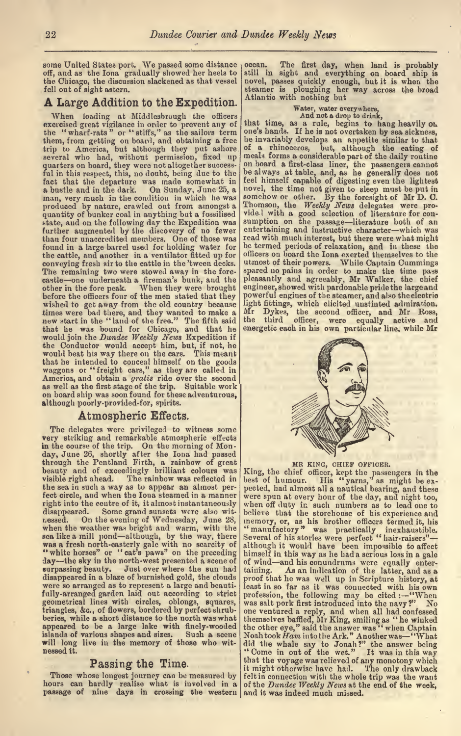some United States port. We passed some distance off, and as the lona gradually showed her heels to the Chicago, the discussion slackened as that vessel fell out of sight astern.

### A Large Addition to the Expedition.

When loading at Middlesbrough the officers exercised great vigilance in order to prevent any of the "wharf-rats" or "stiffs," as the sailors term one's<br>them, from getting on board, and obtaining a free he in trip to America, but although they put ashore of a<br>several who had, without permission, fixed up meal-<br>quarters on board, they were not altogether success-<br>on bo ful in this respect, this, no doubt, being due to the fact that the departure was made somewhat in a bustle and in the dark. On Sunday, June 25, a man, very much in the condition in which he was produced by nature, crawled out from amongst a quantity of bunker coal in anything but a fossilised state, and on the following day the Expedition was further augmented by the discovery of no fewer than four unaccredited members. One of those was found in a large barrel used for holding water for the cattle, and another in a ventilator fitted up for conveying fresh air to the cattle in the 'tween decks. The remaining two were stowed away in the fore-<br>The remaining two were stowed away in the forecastle—one underneath a fireman's bunk, and the please other in the fore peak. When they were brought before the officers four of the men stated that they wished to get away from the old country because times were bad there, and they wanted to make a new start in the "land of the free." The fifth said that he was bound for Chicago, and that he energ<br>would join the *Dundee Weekly News* Expedition if<br>the Conductor would accept him, but, if not, he<br>would beat his way there on the cars. This meant<br>that he intended to conce as well as the first stage of the trip. Suitable work on board ship was soon found for these adventurous, although poorly-provided-for, spirits.

### Atmospheric Effects,

The delegates were privileged to witness some very striking and remarkable atmospheric effects in the course of the trip. On the morning of Monday, June 26, shortly after the Iona had passed<br>through the Pentland Firth, a rainbow of great<br>beauty and of exceedingly brilliant colours was King, visible right ahead. The rainbow was reflected in the sea in such <sup>a</sup> way as to appear an almost per fect circle, and when the lona steamed in a manner right into the centre of it, it almost instantaneously disappeared. Some grand sunsets were also wit-<br>ressed. On the evening of Wednesday, June 28, when the weather was bright and warm, with the sea like a mill pond—although, by the way, there was a fresh north-easterly gale with no scarcity of although it would have been impossible to affect<br>" white horses" or "cat's paws" on the preceding himself in this way as he had a serious loss in a cale day-the sky in the north-west presented a scene of surpassing beauty. Just over where the sun had<br>disappeared in a blaze of burnished gold, the clouds were so arranged as to represent a large and beautifully-arranged garden laid out according to strict geometrical lines with circles, oblongs, squares, triangles, &c., of flowers, bordered by perfect shrub beries, while a short distance to the north was what appeared to be a large lake with finely-wooded<br>islands of various shapes and sizes. Such a scene islands of various shapes and sizes. will long live in the memory of those who wit nessed it.

### Passing the Time.

hours can hardly realise what is involved in a of the *Dundee Weekly News* at the end of the week,<br>passage of nine days in crossing the western and it was indeed much missed.

ocean. The first day, when land is probably still in sight and everything on board ship is novel, passes quickly enough, but it is when the steamer is ploughing her way across the broad Atlantic with nothing but

Water, water everywhere,<br>And not a drop to drink,<br>that time, as a rule, begins to hang heavily on<br>one's hands. If he is not overtaken by sea sickness, one's hands. If he isnot overtaken by sea sickness, he invariably develops an appetite similar to that of a rhinoceros, but, although the eating of meals forms a considerable part of the daily routine<br>on board a first-class liner, the passengers cannot be always at table, and, as he generally does not feel himself capable of digesting even the lightest novel, the time not given to sleep must be put in somehow or other. By the foresight of Mr D. O. Thomson, the Weekly News delegates were prosumption on the passage—literature both of an<br>entertaining and instructive character—which was read with much interest, but there were what might be termed periods of relaxation, and in these the officers on board the lona exerted themselves to the utmost of their powers. While Captain Cummings spared no pains in order to make the time pass pleasantly and agreeably, Mr Walker, the chief engineer, showed with pardonable pride the large and powerful engines of the steamer, and also the electric light fittings, which elicited unstinted admiration. Mr Dykes, the second officer, and Mr Ross, the third officer, were equally active and energetic each in his own particular line, while Mr



### MR KING, CHIEF OFFICER.

Those whose longest journey can be measured by felt in connection with the whole trip was the want<br>ours can hardly realise what is involved in a of the *Dundee Weekly News* at the end of the week. King, the chief officer, kept the passengers in the best of humour. His "yarns," as might be ex were spun at every hour of the day, and night too, believe that the storehouse of his experience and<br>memory, or, as his brother officers termed it, his<br>" manufactory" was practically inexhaustible.<br>Several of his stories were perfect "hair-raisers" himself in this way as he had a serious loss in a gale of wind and his conundrums were equally enter taining. As an indication of the latter, and as a proof that he was well up in Scripture history, at<br>least in so far as it was connected with his own<br>profession, the following may be cited :--"When<br>was salt pork first introduced into the navy?" No one ventured <sup>a</sup> reply, and when all had confessed themselves baffled, Mr King, smiling as "he winked the other eye," said the answer was " when Captain<br>Noah took Ham into the Ark." Another was -- "What did the whale say to Jonah?" the answer being "Come in out of the wet." It was in this way that the voyage was relieved of any monotony which it might otherwise have had. The only drawback felt in connection with the whole trip was the want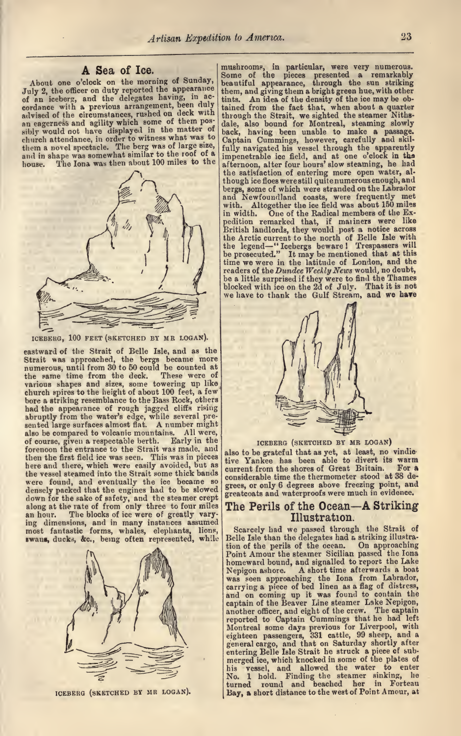### A Sea of Ice.

About one o'clock on the morning of Sunday, beau<br>July 2, the officer on duty reported the appearance them of an iceberg, and the delegates having, in ac-<br>cordance with a previous arrangement, been duly taine advised of the circumstances, rushed on deck with<br>an eagerness and agility which some of them pos-<br>sibly would not have displayed in the matter of<br>back church attendance, in order to witness what was to them <sup>a</sup> novel spectacle. The berg was of large size, and in shape was somewhat similar to the roof of a house. The Iona was then about 100 miles to the The Iona was then about 100 miles to the



ICEBERG, 100 FEET (SKETCHED BY MR LOGAN).

eastward of the Strait of Belle Isle, and as the Strait was approached, the bergs became more numerous, until from 30 to 50 could be counted at the same time from the deck. These were of various shapes and sizes, some towering up like church spires to the height of about 100 feet, a few bore <sup>a</sup> striking resemblance to the Bass Rock, others had the appearance of rough jagged cliffs rising abruptly from the water's edge, while several pre-<br>sented large surfaces almost flat. A number might also be compared to volcanic mountains. All were, of course, given a respectable berth. Early in the forenoon the entrance to the Strait was made, and then the first field ice was seen. This was in pieces ive<br>here and there, which were easily avoided, but as curr the vessel steamed into the Strait some thick bands were found, and eventually the ice became so densely packed that the engines had to be slowed densely packed that the engines had to be slowed gives<br>down for the sake of safety, and the steamer crept gree along at the rate of from only three to four miles The<br>an hour. The blocks of ice were of greatly varying dimensions, and in many instances assumed<br>most fantastic forms, whales, elephants, lions, Sc.<br>swans, ducks, &c., being often represented, while Bell



ICEBERG (SKETCHED BY MR LOGAN).

mushroom?, in particular, were very numerous. Some of the pieces presented <sup>a</sup> remarkably jeautiful appearance, through the sun striking them, and giving them a bright green hue, with other<br>tints. An idea of the density of the ice may be ob-An idea of the density of the ice may be obtained from the fact that, when about a quarter through the Strait, we sighted the steamer Niths-<br>dale, also bound for Montreal, steaming slowly<br>back, having been unable to make a passage.<br>Captain Cummings, however, carefully and skil-'ully navigated his vessel through the apparently mpenetrable ice field, and at one o'clock in tha ifternoon, alter four hours' slow steaming, he had the satisfaction of entering more open water, al-<br>though ice floes were still quite numerous enough, and bergs, some of which were stranded on the Labrador and Newfoundland coasts, were frequently met with. Altogether the ice field was about 150 miles<br>in width. One of the Radical members of the Expedition remarked that, if mariners were like<br>British landlords, they would post a notice across<br>the Arctic current to the north of Belle Isle with the legend—" Icebergs beware ! Trespassers will<br>be prosecuted." It may be mentioned that at this<br>time we were in the latitude of London, and the readers of the *Dundee Weekly News* would, no doubt, be a little surprised if they were to find the Thames blocked with ice on the 2d of July. That it is not we have to thank the Gulf Stream, and we hare



ICEBERG (SKETCHED BY MR LOGAN)

also to be grateful that as yet, at least, no vindic tive Yankee has been able to divert its warm current from the shores of Great Biitain. Fora considerable time the thermometer stood at 38 de grees, or only <sup>6</sup> degrees above freezing point, and greatcoats and waterproofs were much in evidence.

### The Perils of the Ocean—A Striking Illustration.

Scarcely had we passed through the Strait of Belle Isle than the delegates had & striking illustra tion of the perils of the ocean. On approaching<br>Point Amour the steamer Sicilian passed the Iona homeward bound, and signalled to report the Lake<br>Nepigon ashore. A short time afterwards a boat was seen approaching the Iona from Labrador, carrying a piece of bed linen as a flag of distress, carrying a piece of bed linen as a flag of distress,<br>and on coming up it was found to contain the<br>captain of the Beaver Line steamer Lake Nepigon, another officer, and eight of the crew. The captain reported to Captain Cummings that he had left<br>Montreal some days previous for Liverpool, with<br>eighteen passengers, 331 cattle, 99 sheep, and a<br>general cargo, and that on Saturday shortly after<br>entering Belle Isle Strait he merged ice, which knocked in some of the plates of his vessel, and allowed the water to enter<br>No. 1 hold. Finding the steamer sinking, he<br>turned round and beached her in Forteau Bay, <sup>a</sup> short distance to the west of Point Amour, at